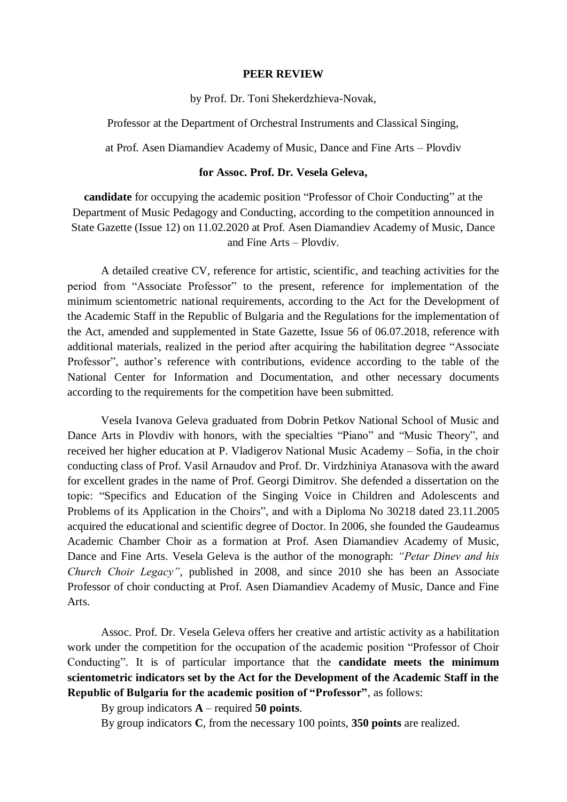## **PEER REVIEW**

by Prof. Dr. Toni Shekerdzhieva-Novak,

Professor at the Department of Orchestral Instruments and Classical Singing,

at Prof. Asen Diamandiev Academy of Music, Dance and Fine Arts – Plovdiv

## **for Assoc. Prof. Dr. Vesela Geleva,**

**candidate** for occupying the academic position "Professor of Choir Conducting" at the Department of Music Pedagogy and Conducting, according to the competition announced in State Gazette (Issue 12) on 11.02.2020 at Prof. Asen Diamandiev Academy of Music, Dance and Fine Arts – Plovdiv.

A detailed creative CV, reference for artistic, scientific, and teaching activities for the period from "Associate Professor" to the present, reference for implementation of the minimum scientometric national requirements, according to the Act for the Development of the Academic Staff in the Republic of Bulgaria and the Regulations for the implementation of the Act, amended and supplemented in State Gazette, Issue 56 of 06.07.2018, reference with additional materials, realized in the period after acquiring the habilitation degree "Associate Professor", author's reference with contributions, evidence according to the table of the National Center for Information and Documentation, and other necessary documents according to the requirements for the competition have been submitted.

Vesela Ivanova Geleva graduated from Dobrin Petkov National School of Music and Dance Arts in Plovdiv with honors, with the specialties "Piano" and "Music Theory", and received her higher education at P. Vladigerov National Music Academy – Sofia, in the choir conducting class of Prof. Vasil Arnaudov and Prof. Dr. Virdzhiniya Atanasova with the award for excellent grades in the name of Prof. Georgi Dimitrov. She defended a dissertation on the topic: "Specifics and Education of the Singing Voice in Children and Adolescents and Problems of its Application in the Choirs", and with a Diploma No 30218 dated 23.11.2005 acquired the educational and scientific degree of Doctor. In 2006, she founded the Gaudeamus Academic Chamber Choir as a formation at Prof. Asen Diamandiev Academy of Music, Dance and Fine Arts. Vesela Geleva is the author of the monograph: *"Petar Dinev and his Church Choir Legacy"*, published in 2008, and since 2010 she has been an Associate Professor of choir conducting at Prof. Asen Diamandiev Academy of Music, Dance and Fine Arts.

Assoc. Prof. Dr. Vesela Geleva offers her creative and artistic activity as a habilitation work under the competition for the occupation of the academic position "Professor of Choir Conducting". It is of particular importance that the **candidate meets the minimum scientometric indicators set by the Act for the Development of the Academic Staff in the Republic of Bulgaria for the academic position of "Professor"**, as follows:

By group indicators **A** – required **50 points**.

By group indicators **C**, from the necessary 100 points, **350 points** are realized.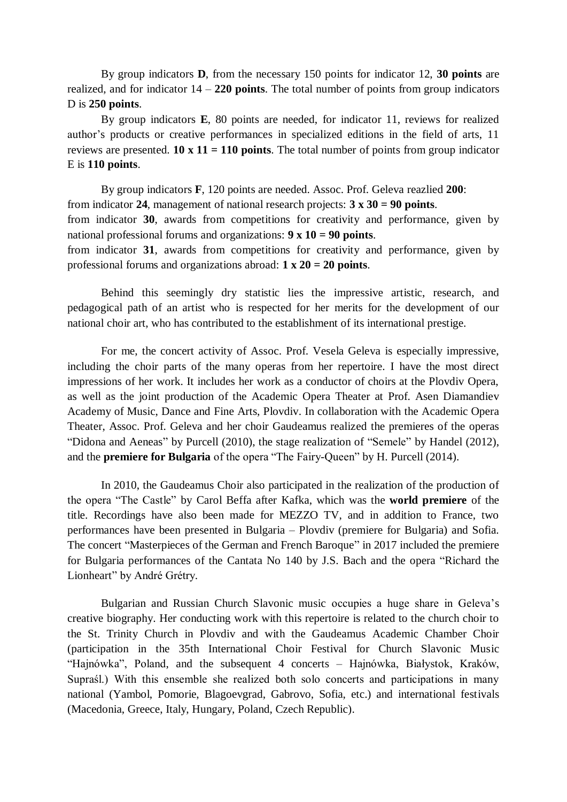By group indicators **D**, from the necessary 150 points for indicator 12, **30 points** are realized, and for indicator 14 – **220 points**. The total number of points from group indicators D is **250 points**.

By group indicators **E**, 80 points are needed, for indicator 11, reviews for realized author's products or creative performances in specialized editions in the field of arts, 11 reviews are presented. **10 x 11 = 110 points**. The total number of points from group indicator E is **110 points**.

By group indicators **F**, 120 points are needed. Assoc. Prof. Geleva reazlied **200**: from indicator **24**, management of national research projects: **3 x 30 = 90 points**. from indicator **30**, awards from competitions for creativity and performance, given by national professional forums and organizations: **9 x 10 = 90 points**. from indicator **31**, awards from competitions for creativity and performance, given by professional forums and organizations abroad: **1 x 20 = 20 points**.

Behind this seemingly dry statistic lies the impressive artistic, research, and pedagogical path of an artist who is respected for her merits for the development of our national choir art, who has contributed to the establishment of its international prestige.

For me, the concert activity of Assoc. Prof. Vesela Geleva is especially impressive, including the choir parts of the many operas from her repertoire. I have the most direct impressions of her work. It includes her work as a conductor of choirs at the Plovdiv Opera, as well as the joint production of the Academic Opera Theater at Prof. Asen Diamandiev Academy of Music, Dance and Fine Arts, Plovdiv. In collaboration with the Academic Opera Theater, Assoc. Prof. Geleva and her choir Gaudeamus realized the premieres of the operas "Didona and Aeneas" by Purcell (2010), the stage realization of "Semele" by Handel (2012), and the **premiere for Bulgaria** of the opera "The Fairy-Queen" by H. Purcell (2014).

In 2010, the Gaudeamus Choir also participated in the realization of the production of the opera "The Castle" by Carol Beffa after Kafka, which was the **world premiere** of the title. Recordings have also been made for MEZZO TV, and in addition to France, two performances have been presented in Bulgaria – Plovdiv (premiere for Bulgaria) and Sofia. The concert "Masterpieces of the German and French Baroque" in 2017 included the premiere for Bulgaria performances of the Cantata No 140 by J.S. Bach and the opera "Richard the Lionheart" by André Grétry.

Bulgarian and Russian Church Slavonic music occupies a huge share in Geleva's creative biography. Her conducting work with this repertoire is related to the church choir to the St. Trinity Church in Plovdiv and with the Gaudeamus Academic Chamber Choir (participation in the 35th International Choir Festival for Church Slavonic Music "Hajnówka", Poland, and the subsequent 4 concerts – Hajnówka, Białystok, Kraków, Supraśl.) With this ensemble she realized both solo concerts and participations in many national (Yambol, Pomorie, Blagoevgrad, Gabrovo, Sofia, etc.) and international festivals (Macedonia, Greece, Italy, Hungary, Poland, Czech Republic).